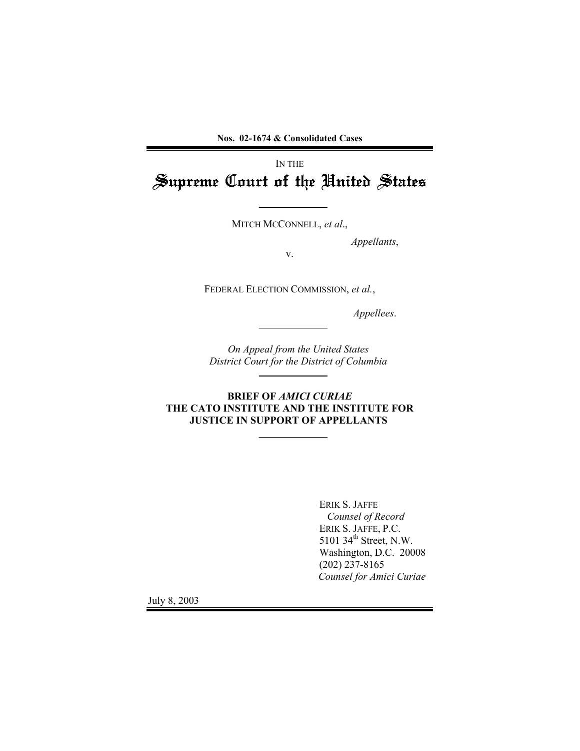**Nos. 02-1674 & Consolidated Cases** 

Supreme Court of the United States Supreme United States IN THE

MITCH MCCONNELL, *et al*.,

*Appellants*,

v.

FEDERAL ELECTION COMMISSION, *et al.*,

*Appellees*.

*On Appeal from the United States District Court for the District of Columbia* 

**BRIEF OF** *AMICI CURIAE* **THE CATO INSTITUTE AND THE INSTITUTE FOR JUSTICE IN SUPPORT OF APPELLANTS** 

> ERIK S. JAFFE *Counsel of Record*  ERIK S. JAFFE, P.C. 5101 34<sup>th</sup> Street, N.W. Washington, D.C. 20008 (202) 237-8165 *Counsel for Amici Curiae*

July 8, 2003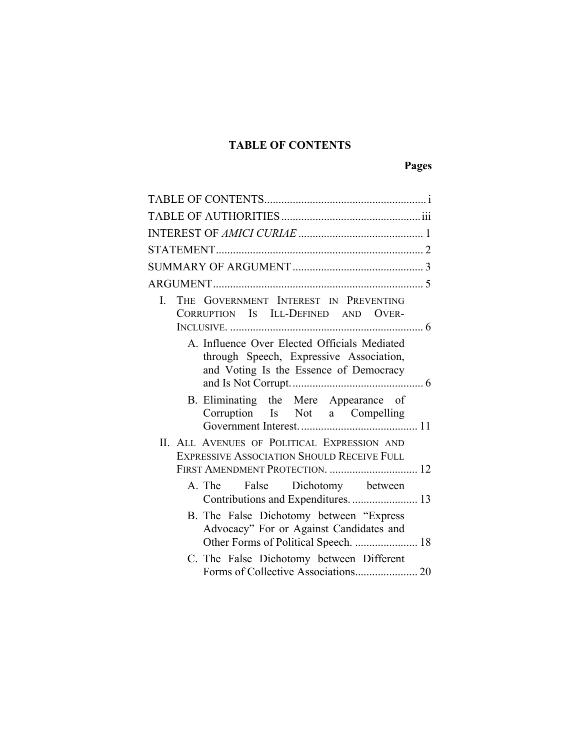# **TABLE OF CONTENTS**

# **Pages**

| $\mathbf{I}$ | THE GOVERNMENT INTEREST IN PREVENTING<br>CORRUPTION IS ILL-DEFINED AND OVER-                                                      |  |  |  |
|--------------|-----------------------------------------------------------------------------------------------------------------------------------|--|--|--|
|              | A. Influence Over Elected Officials Mediated<br>through Speech, Expressive Association,<br>and Voting Is the Essence of Democracy |  |  |  |
|              | B. Eliminating the Mere Appearance of<br>Corruption Is Not a Compelling                                                           |  |  |  |
|              | II. ALL AVENUES OF POLITICAL EXPRESSION AND                                                                                       |  |  |  |
|              | <b>EXPRESSIVE ASSOCIATION SHOULD RECEIVE FULL</b><br>FIRST AMENDMENT PROTECTION.  12                                              |  |  |  |
|              | A. The False Dichotomy between<br>Contributions and Expenditures.  13                                                             |  |  |  |
|              | B. The False Dichotomy between "Express"<br>Advocacy" For or Against Candidates and<br>Other Forms of Political Speech.  18       |  |  |  |
|              | C. The False Dichotomy between Different                                                                                          |  |  |  |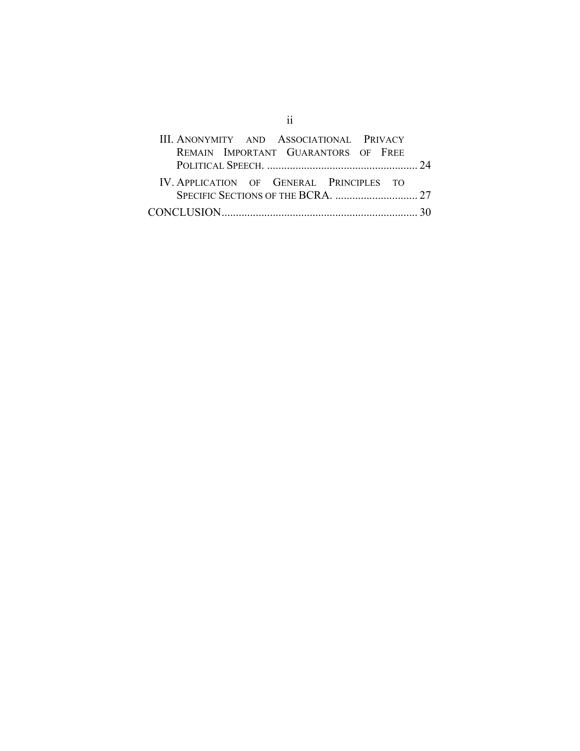| III. ANONYMITY AND ASSOCIATIONAL PRIVACY |  |
|------------------------------------------|--|
| REMAIN IMPORTANT GUARANTORS OF FREE      |  |
|                                          |  |
| IV. APPLICATION OF GENERAL PRINCIPLES TO |  |
|                                          |  |
|                                          |  |

ii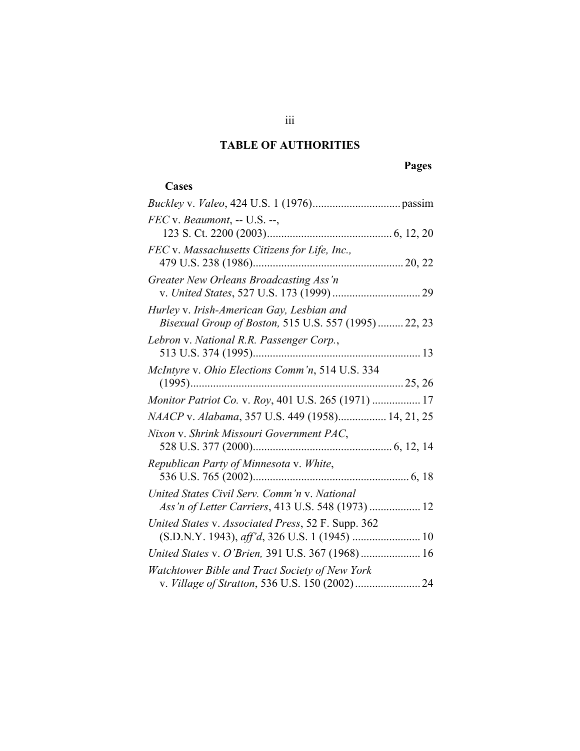# **TABLE OF AUTHORITIES**

# **Pages**

# **Cases**

| FEC v. Beaumont, -- U.S. --,                                                                       |  |
|----------------------------------------------------------------------------------------------------|--|
| FEC v. Massachusetts Citizens for Life, Inc.,                                                      |  |
| Greater New Orleans Broadcasting Ass'n                                                             |  |
| Hurley v. Irish-American Gay, Lesbian and<br>Bisexual Group of Boston, 515 U.S. 557 (1995)  22, 23 |  |
| Lebron v. National R.R. Passenger Corp.,                                                           |  |
| McIntyre v. Ohio Elections Comm'n, 514 U.S. 334                                                    |  |
| Monitor Patriot Co. v. Roy, 401 U.S. 265 (1971)  17                                                |  |
| NAACP v. Alabama, 357 U.S. 449 (1958) 14, 21, 25                                                   |  |
| Nixon v. Shrink Missouri Government PAC,                                                           |  |
| Republican Party of Minnesota v. White,                                                            |  |
| United States Civil Serv. Comm'n v. National<br>Ass'n of Letter Carriers, 413 U.S. 548 (1973)  12  |  |
| United States v. Associated Press, 52 F. Supp. 362                                                 |  |
| United States v. O'Brien, 391 U.S. 367 (1968) 16                                                   |  |
| Watchtower Bible and Tract Society of New York                                                     |  |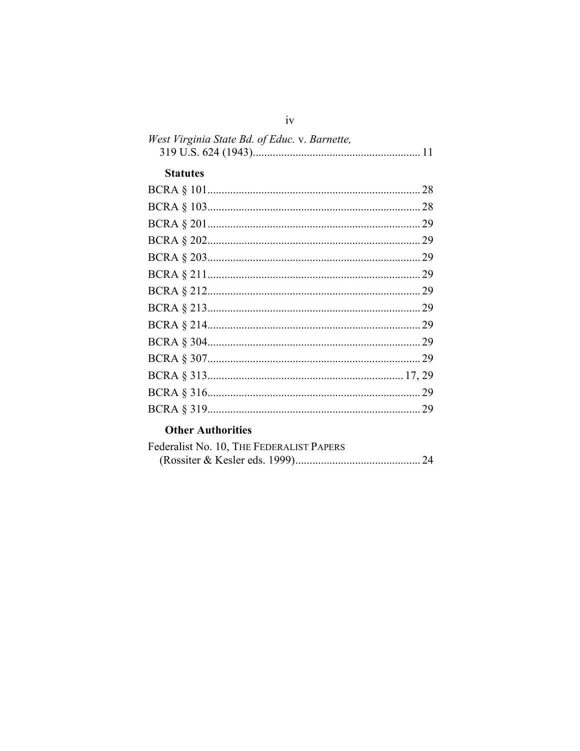| West Virginia State Bd. of Educ. v. Barnette, |  |
|-----------------------------------------------|--|
|                                               |  |
| <b>Statutes</b>                               |  |
|                                               |  |
|                                               |  |
|                                               |  |
|                                               |  |
|                                               |  |
|                                               |  |
|                                               |  |
|                                               |  |
|                                               |  |
|                                               |  |
|                                               |  |
|                                               |  |
|                                               |  |
|                                               |  |

# **Other Authorities**

| Federalist No. 10, THE FEDERALIST PAPERS |  |
|------------------------------------------|--|
|                                          |  |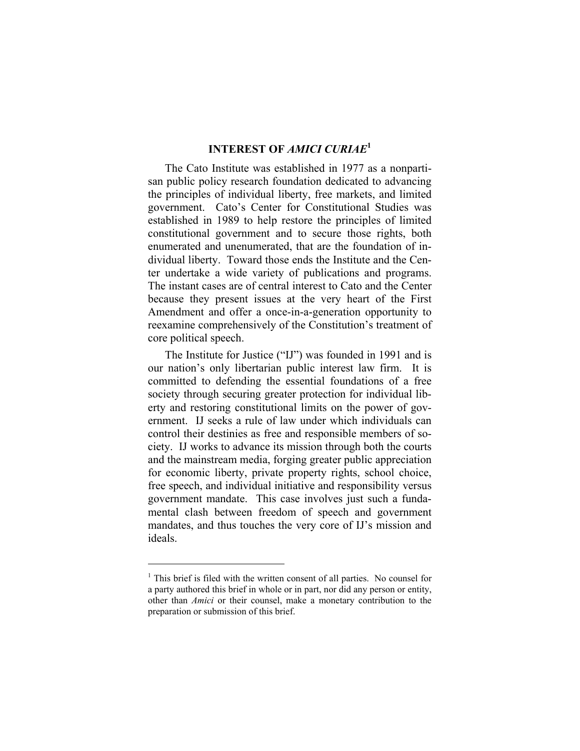## **INTEREST OF** *AMICI CURIAE***<sup>1</sup>**

The Cato Institute was established in 1977 as a nonpartisan public policy research foundation dedicated to advancing the principles of individual liberty, free markets, and limited government. Cato's Center for Constitutional Studies was established in 1989 to help restore the principles of limited constitutional government and to secure those rights, both enumerated and unenumerated, that are the foundation of individual liberty. Toward those ends the Institute and the Center undertake a wide variety of publications and programs. The instant cases are of central interest to Cato and the Center because they present issues at the very heart of the First Amendment and offer a once-in-a-generation opportunity to reexamine comprehensively of the Constitution's treatment of core political speech.

The Institute for Justice ("IJ") was founded in 1991 and is our nation's only libertarian public interest law firm. It is committed to defending the essential foundations of a free society through securing greater protection for individual liberty and restoring constitutional limits on the power of government. IJ seeks a rule of law under which individuals can control their destinies as free and responsible members of society. IJ works to advance its mission through both the courts and the mainstream media, forging greater public appreciation for economic liberty, private property rights, school choice, free speech, and individual initiative and responsibility versus government mandate. This case involves just such a fundamental clash between freedom of speech and government mandates, and thus touches the very core of IJ's mission and ideals.

<sup>&</sup>lt;sup>1</sup> This brief is filed with the written consent of all parties. No counsel for a party authored this brief in whole or in part, nor did any person or entity, other than *Amici* or their counsel, make a monetary contribution to the preparation or submission of this brief.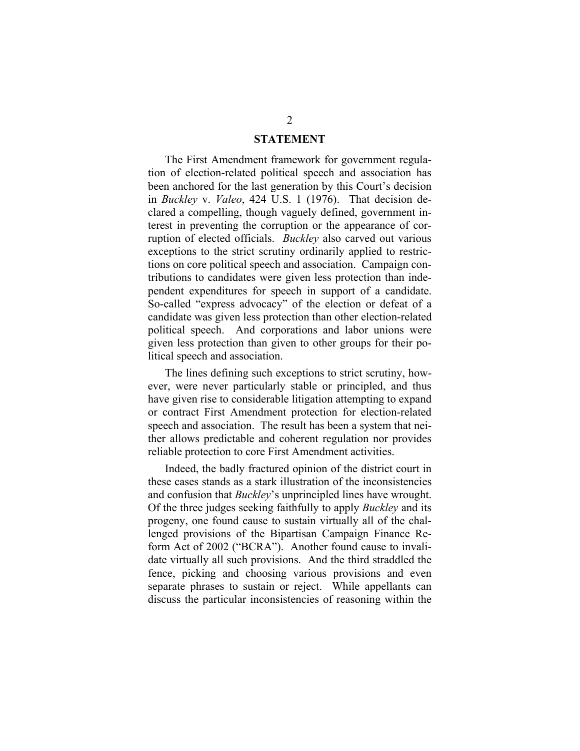#### **STATEMENT**

The First Amendment framework for government regulation of election-related political speech and association has been anchored for the last generation by this Court's decision in *Buckley* v. *Valeo*, 424 U.S. 1 (1976). That decision declared a compelling, though vaguely defined, government interest in preventing the corruption or the appearance of corruption of elected officials. *Buckley* also carved out various exceptions to the strict scrutiny ordinarily applied to restrictions on core political speech and association. Campaign contributions to candidates were given less protection than independent expenditures for speech in support of a candidate. So-called "express advocacy" of the election or defeat of a candidate was given less protection than other election-related political speech. And corporations and labor unions were given less protection than given to other groups for their political speech and association.

The lines defining such exceptions to strict scrutiny, however, were never particularly stable or principled, and thus have given rise to considerable litigation attempting to expand or contract First Amendment protection for election-related speech and association. The result has been a system that neither allows predictable and coherent regulation nor provides reliable protection to core First Amendment activities.

Indeed, the badly fractured opinion of the district court in these cases stands as a stark illustration of the inconsistencies and confusion that *Buckley*'s unprincipled lines have wrought. Of the three judges seeking faithfully to apply *Buckley* and its progeny, one found cause to sustain virtually all of the challenged provisions of the Bipartisan Campaign Finance Reform Act of 2002 ("BCRA"). Another found cause to invalidate virtually all such provisions. And the third straddled the fence, picking and choosing various provisions and even separate phrases to sustain or reject. While appellants can discuss the particular inconsistencies of reasoning within the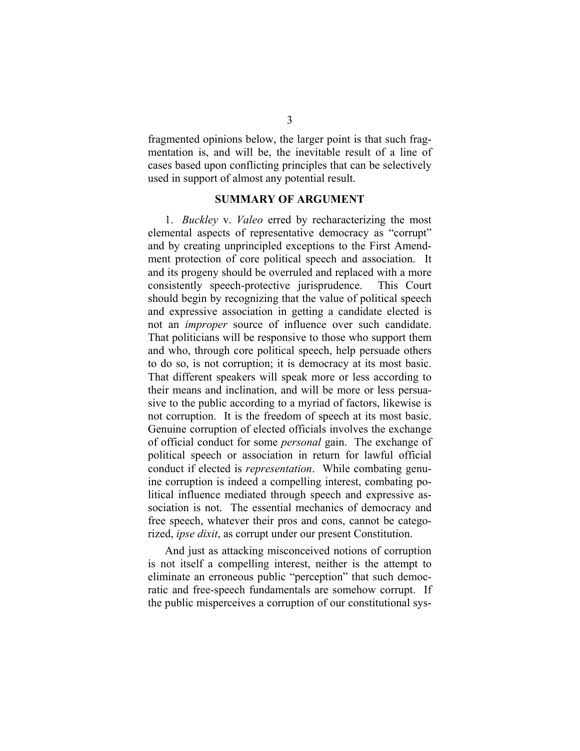fragmented opinions below, the larger point is that such fragmentation is, and will be, the inevitable result of a line of cases based upon conflicting principles that can be selectively used in support of almost any potential result.

#### **SUMMARY OF ARGUMENT**

1. *Buckley* v. *Valeo* erred by recharacterizing the most elemental aspects of representative democracy as "corrupt" and by creating unprincipled exceptions to the First Amendment protection of core political speech and association. It and its progeny should be overruled and replaced with a more consistently speech-protective jurisprudence. This Court should begin by recognizing that the value of political speech and expressive association in getting a candidate elected is not an *improper* source of influence over such candidate. That politicians will be responsive to those who support them and who, through core political speech, help persuade others to do so, is not corruption; it is democracy at its most basic. That different speakers will speak more or less according to their means and inclination, and will be more or less persuasive to the public according to a myriad of factors, likewise is not corruption. It is the freedom of speech at its most basic. Genuine corruption of elected officials involves the exchange of official conduct for some *personal* gain. The exchange of political speech or association in return for lawful official conduct if elected is *representation*. While combating genuine corruption is indeed a compelling interest, combating political influence mediated through speech and expressive association is not. The essential mechanics of democracy and free speech, whatever their pros and cons, cannot be categorized, *ipse dixit*, as corrupt under our present Constitution.

And just as attacking misconceived notions of corruption is not itself a compelling interest, neither is the attempt to eliminate an erroneous public "perception" that such democratic and free-speech fundamentals are somehow corrupt. If the public misperceives a corruption of our constitutional sys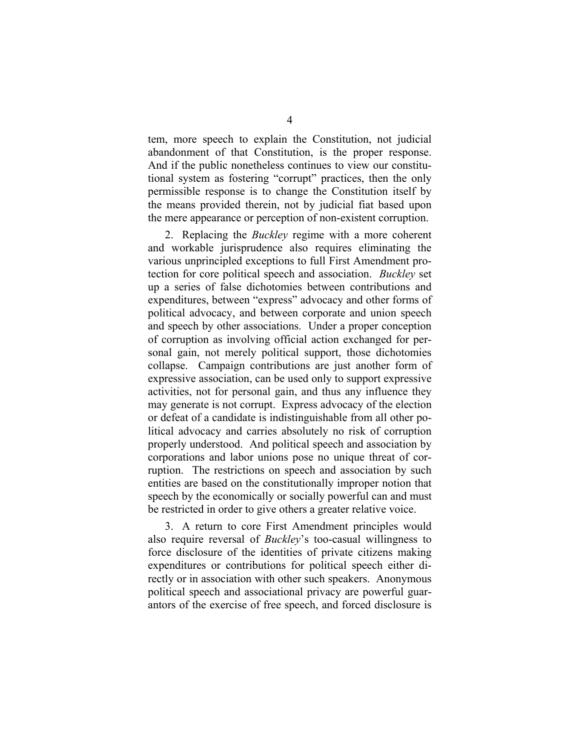tem, more speech to explain the Constitution, not judicial abandonment of that Constitution, is the proper response. And if the public nonetheless continues to view our constitutional system as fostering "corrupt" practices, then the only permissible response is to change the Constitution itself by the means provided therein, not by judicial fiat based upon the mere appearance or perception of non-existent corruption.

2. Replacing the *Buckley* regime with a more coherent and workable jurisprudence also requires eliminating the various unprincipled exceptions to full First Amendment protection for core political speech and association. *Buckley* set up a series of false dichotomies between contributions and expenditures, between "express" advocacy and other forms of political advocacy, and between corporate and union speech and speech by other associations. Under a proper conception of corruption as involving official action exchanged for personal gain, not merely political support, those dichotomies collapse. Campaign contributions are just another form of expressive association, can be used only to support expressive activities, not for personal gain, and thus any influence they may generate is not corrupt. Express advocacy of the election or defeat of a candidate is indistinguishable from all other political advocacy and carries absolutely no risk of corruption properly understood. And political speech and association by corporations and labor unions pose no unique threat of corruption. The restrictions on speech and association by such entities are based on the constitutionally improper notion that speech by the economically or socially powerful can and must be restricted in order to give others a greater relative voice.

3. A return to core First Amendment principles would also require reversal of *Buckley*'s too-casual willingness to force disclosure of the identities of private citizens making expenditures or contributions for political speech either directly or in association with other such speakers. Anonymous political speech and associational privacy are powerful guarantors of the exercise of free speech, and forced disclosure is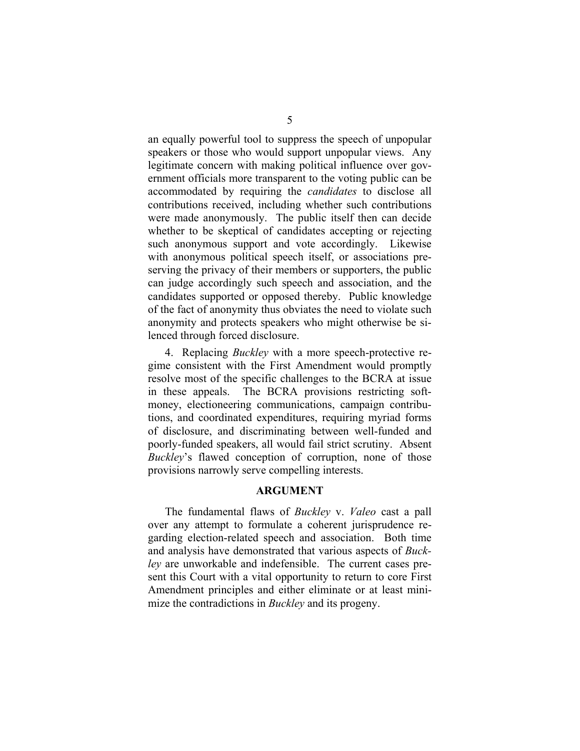an equally powerful tool to suppress the speech of unpopular speakers or those who would support unpopular views. Any legitimate concern with making political influence over government officials more transparent to the voting public can be accommodated by requiring the *candidates* to disclose all contributions received, including whether such contributions were made anonymously. The public itself then can decide whether to be skeptical of candidates accepting or rejecting such anonymous support and vote accordingly. Likewise with anonymous political speech itself, or associations preserving the privacy of their members or supporters, the public can judge accordingly such speech and association, and the candidates supported or opposed thereby. Public knowledge of the fact of anonymity thus obviates the need to violate such anonymity and protects speakers who might otherwise be silenced through forced disclosure.

4. Replacing *Buckley* with a more speech-protective regime consistent with the First Amendment would promptly resolve most of the specific challenges to the BCRA at issue in these appeals. The BCRA provisions restricting softmoney, electioneering communications, campaign contributions, and coordinated expenditures, requiring myriad forms of disclosure, and discriminating between well-funded and poorly-funded speakers, all would fail strict scrutiny. Absent *Buckley*'s flawed conception of corruption, none of those provisions narrowly serve compelling interests.

#### **ARGUMENT**

The fundamental flaws of *Buckley* v. *Valeo* cast a pall over any attempt to formulate a coherent jurisprudence regarding election-related speech and association. Both time and analysis have demonstrated that various aspects of *Buckley* are unworkable and indefensible. The current cases present this Court with a vital opportunity to return to core First Amendment principles and either eliminate or at least minimize the contradictions in *Buckley* and its progeny.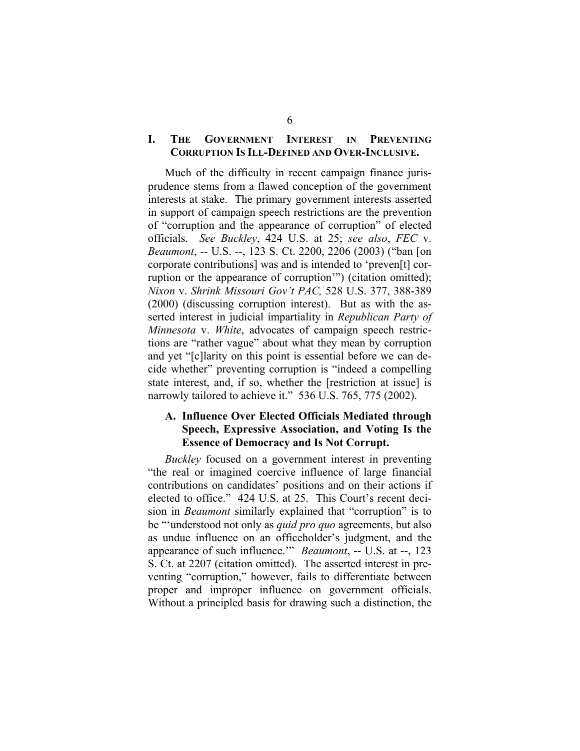### **I. THE GOVERNMENT INTEREST IN PREVENTING CORRUPTION IS ILL-DEFINED AND OVER-INCLUSIVE.**

Much of the difficulty in recent campaign finance jurisprudence stems from a flawed conception of the government interests at stake. The primary government interests asserted in support of campaign speech restrictions are the prevention of "corruption and the appearance of corruption" of elected officials. *See Buckley*, 424 U.S. at 25; *see also*, *FEC* v. *Beaumont*, -- U.S. --, 123 S. Ct. 2200, 2206 (2003) ("ban [on corporate contributions] was and is intended to 'preven[t] corruption or the appearance of corruption'") (citation omitted); *Nixon* v. *Shrink Missouri Gov't PAC,* 528 U.S. 377, 388-389 (2000) (discussing corruption interest). But as with the asserted interest in judicial impartiality in *Republican Party of Minnesota* v. *White*, advocates of campaign speech restrictions are "rather vague" about what they mean by corruption and yet "[c]larity on this point is essential before we can decide whether" preventing corruption is "indeed a compelling state interest, and, if so, whether the *restriction* at issuel is narrowly tailored to achieve it." 536 U.S. 765, 775 (2002).

### **A. Influence Over Elected Officials Mediated through Speech, Expressive Association, and Voting Is the Essence of Democracy and Is Not Corrupt.**

*Buckley* focused on a government interest in preventing "the real or imagined coercive influence of large financial contributions on candidates' positions and on their actions if elected to office." 424 U.S. at 25. This Court's recent decision in *Beaumont* similarly explained that "corruption" is to be "'understood not only as *quid pro quo* agreements, but also as undue influence on an officeholder's judgment, and the appearance of such influence.'" *Beaumont*, -- U.S. at --, 123 S. Ct. at 2207 (citation omitted). The asserted interest in preventing "corruption," however, fails to differentiate between proper and improper influence on government officials. Without a principled basis for drawing such a distinction, the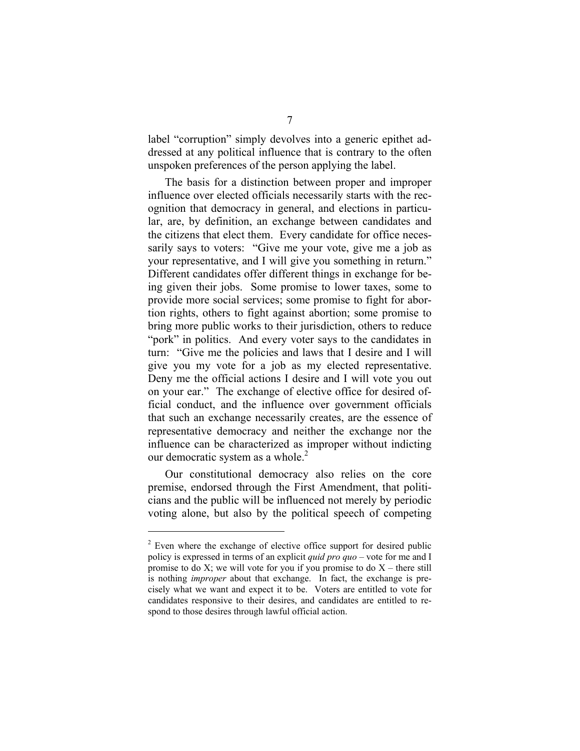label "corruption" simply devolves into a generic epithet addressed at any political influence that is contrary to the often unspoken preferences of the person applying the label.

The basis for a distinction between proper and improper influence over elected officials necessarily starts with the recognition that democracy in general, and elections in particular, are, by definition, an exchange between candidates and the citizens that elect them. Every candidate for office necessarily says to voters: "Give me your vote, give me a job as your representative, and I will give you something in return." Different candidates offer different things in exchange for being given their jobs. Some promise to lower taxes, some to provide more social services; some promise to fight for abortion rights, others to fight against abortion; some promise to bring more public works to their jurisdiction, others to reduce "pork" in politics. And every voter says to the candidates in turn: "Give me the policies and laws that I desire and I will give you my vote for a job as my elected representative. Deny me the official actions I desire and I will vote you out on your ear." The exchange of elective office for desired official conduct, and the influence over government officials that such an exchange necessarily creates, are the essence of representative democracy and neither the exchange nor the influence can be characterized as improper without indicting our democratic system as a whole. $\alpha$ 

Our constitutional democracy also relies on the core premise, endorsed through the First Amendment, that politicians and the public will be influenced not merely by periodic voting alone, but also by the political speech of competing

 $2$  Even where the exchange of elective office support for desired public policy is expressed in terms of an explicit *quid pro quo* – vote for me and I promise to do X; we will vote for you if you promise to do  $X$  – there still is nothing *improper* about that exchange. In fact, the exchange is precisely what we want and expect it to be. Voters are entitled to vote for candidates responsive to their desires, and candidates are entitled to respond to those desires through lawful official action.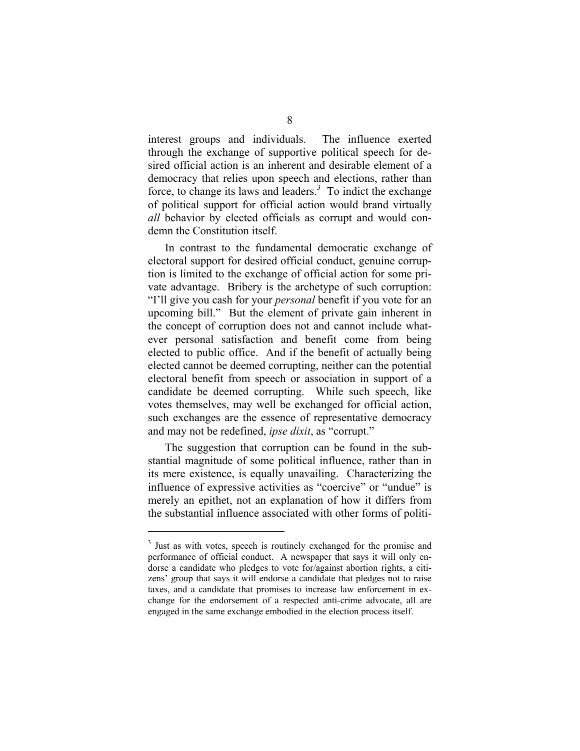interest groups and individuals. The influence exerted through the exchange of supportive political speech for desired official action is an inherent and desirable element of a democracy that relies upon speech and elections, rather than force, to change its laws and leaders. $3$  To indict the exchange of political support for official action would brand virtually *all* behavior by elected officials as corrupt and would condemn the Constitution itself.

In contrast to the fundamental democratic exchange of electoral support for desired official conduct, genuine corruption is limited to the exchange of official action for some private advantage. Bribery is the archetype of such corruption: "I'll give you cash for your *personal* benefit if you vote for an upcoming bill." But the element of private gain inherent in the concept of corruption does not and cannot include whatever personal satisfaction and benefit come from being elected to public office. And if the benefit of actually being elected cannot be deemed corrupting, neither can the potential electoral benefit from speech or association in support of a candidate be deemed corrupting. While such speech, like votes themselves, may well be exchanged for official action, such exchanges are the essence of representative democracy and may not be redefined, *ipse dixit*, as "corrupt."

The suggestion that corruption can be found in the substantial magnitude of some political influence, rather than in its mere existence, is equally unavailing. Characterizing the influence of expressive activities as "coercive" or "undue" is merely an epithet, not an explanation of how it differs from the substantial influence associated with other forms of politi-

<sup>&</sup>lt;sup>3</sup> Just as with votes, speech is routinely exchanged for the promise and performance of official conduct. A newspaper that says it will only endorse a candidate who pledges to vote for/against abortion rights, a citizens' group that says it will endorse a candidate that pledges not to raise taxes, and a candidate that promises to increase law enforcement in exchange for the endorsement of a respected anti-crime advocate, all are engaged in the same exchange embodied in the election process itself.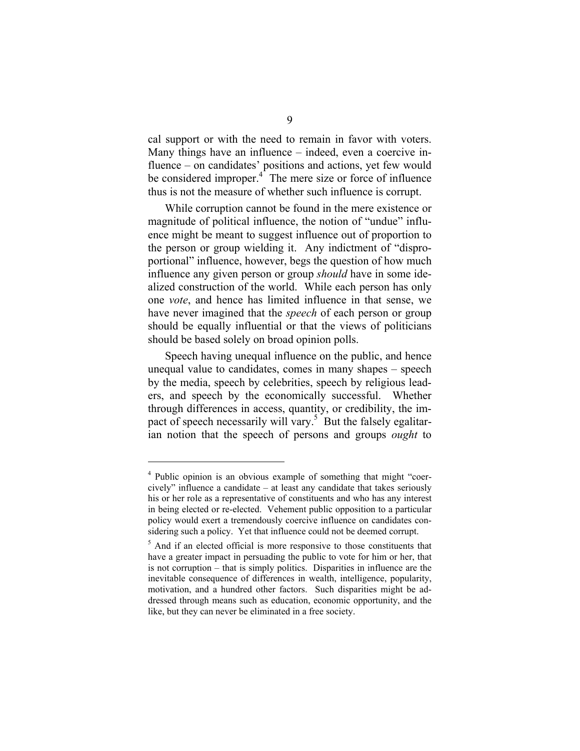cal support or with the need to remain in favor with voters. Many things have an influence – indeed, even a coercive influence – on candidates' positions and actions, yet few would be considered improper.<sup>4</sup> The mere size or force of influence thus is not the measure of whether such influence is corrupt.

While corruption cannot be found in the mere existence or magnitude of political influence, the notion of "undue" influence might be meant to suggest influence out of proportion to the person or group wielding it. Any indictment of "disproportional" influence, however, begs the question of how much influence any given person or group *should* have in some idealized construction of the world. While each person has only one *vote*, and hence has limited influence in that sense, we have never imagined that the *speech* of each person or group should be equally influential or that the views of politicians should be based solely on broad opinion polls.

Speech having unequal influence on the public, and hence unequal value to candidates, comes in many shapes – speech by the media, speech by celebrities, speech by religious leaders, and speech by the economically successful. Whether through differences in access, quantity, or credibility, the impact of speech necessarily will vary.<sup>5</sup> But the falsely egalitarian notion that the speech of persons and groups *ought* to

<sup>&</sup>lt;sup>4</sup> Public opinion is an obvious example of something that might "coercively" influence a candidate – at least any candidate that takes seriously his or her role as a representative of constituents and who has any interest in being elected or re-elected. Vehement public opposition to a particular policy would exert a tremendously coercive influence on candidates considering such a policy. Yet that influence could not be deemed corrupt.

<sup>&</sup>lt;sup>5</sup> And if an elected official is more responsive to those constituents that have a greater impact in persuading the public to vote for him or her, that is not corruption – that is simply politics. Disparities in influence are the inevitable consequence of differences in wealth, intelligence, popularity, motivation, and a hundred other factors. Such disparities might be addressed through means such as education, economic opportunity, and the like, but they can never be eliminated in a free society.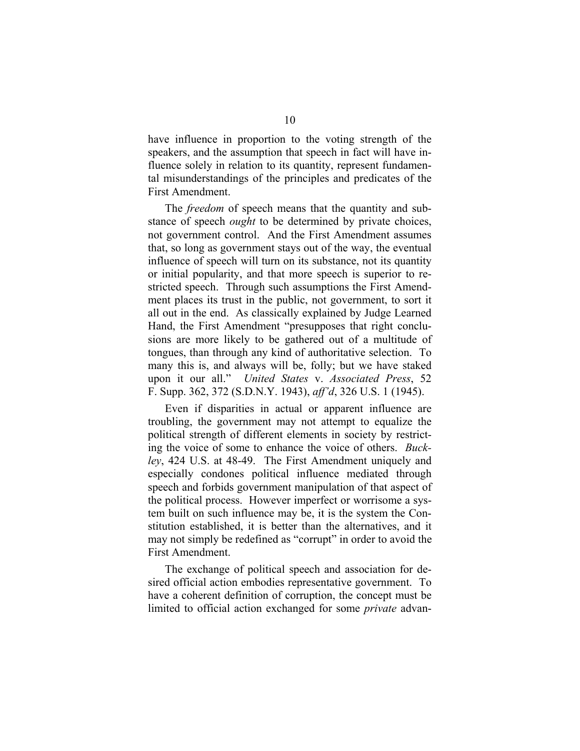have influence in proportion to the voting strength of the speakers, and the assumption that speech in fact will have influence solely in relation to its quantity, represent fundamental misunderstandings of the principles and predicates of the First Amendment.

The *freedom* of speech means that the quantity and substance of speech *ought* to be determined by private choices, not government control. And the First Amendment assumes that, so long as government stays out of the way, the eventual influence of speech will turn on its substance, not its quantity or initial popularity, and that more speech is superior to restricted speech. Through such assumptions the First Amendment places its trust in the public, not government, to sort it all out in the end. As classically explained by Judge Learned Hand, the First Amendment "presupposes that right conclusions are more likely to be gathered out of a multitude of tongues, than through any kind of authoritative selection. To many this is, and always will be, folly; but we have staked upon it our all." *United States* v. *Associated Press*, 52 F. Supp. 362, 372 (S.D.N.Y. 1943), *aff'd*, 326 U.S. 1 (1945).

Even if disparities in actual or apparent influence are troubling, the government may not attempt to equalize the political strength of different elements in society by restricting the voice of some to enhance the voice of others. *Buckley*, 424 U.S. at 48-49. The First Amendment uniquely and especially condones political influence mediated through speech and forbids government manipulation of that aspect of the political process. However imperfect or worrisome a system built on such influence may be, it is the system the Constitution established, it is better than the alternatives, and it may not simply be redefined as "corrupt" in order to avoid the First Amendment.

The exchange of political speech and association for desired official action embodies representative government. To have a coherent definition of corruption, the concept must be limited to official action exchanged for some *private* advan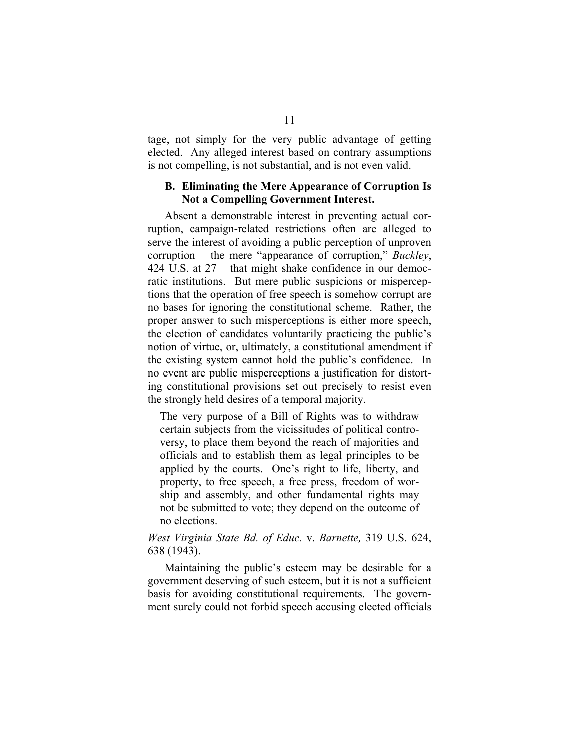tage, not simply for the very public advantage of getting elected. Any alleged interest based on contrary assumptions is not compelling, is not substantial, and is not even valid.

#### **B. Eliminating the Mere Appearance of Corruption Is Not a Compelling Government Interest.**

Absent a demonstrable interest in preventing actual corruption, campaign-related restrictions often are alleged to serve the interest of avoiding a public perception of unproven corruption – the mere "appearance of corruption," *Buckley*, 424 U.S. at 27 – that might shake confidence in our democratic institutions. But mere public suspicions or misperceptions that the operation of free speech is somehow corrupt are no bases for ignoring the constitutional scheme. Rather, the proper answer to such misperceptions is either more speech, the election of candidates voluntarily practicing the public's notion of virtue, or, ultimately, a constitutional amendment if the existing system cannot hold the public's confidence. In no event are public misperceptions a justification for distorting constitutional provisions set out precisely to resist even the strongly held desires of a temporal majority.

The very purpose of a Bill of Rights was to withdraw certain subjects from the vicissitudes of political controversy, to place them beyond the reach of majorities and officials and to establish them as legal principles to be applied by the courts. One's right to life, liberty, and property, to free speech, a free press, freedom of worship and assembly, and other fundamental rights may not be submitted to vote; they depend on the outcome of no elections.

## *West Virginia State Bd. of Educ.* v. *Barnette,* 319 U.S. 624, 638 (1943).

Maintaining the public's esteem may be desirable for a government deserving of such esteem, but it is not a sufficient basis for avoiding constitutional requirements. The government surely could not forbid speech accusing elected officials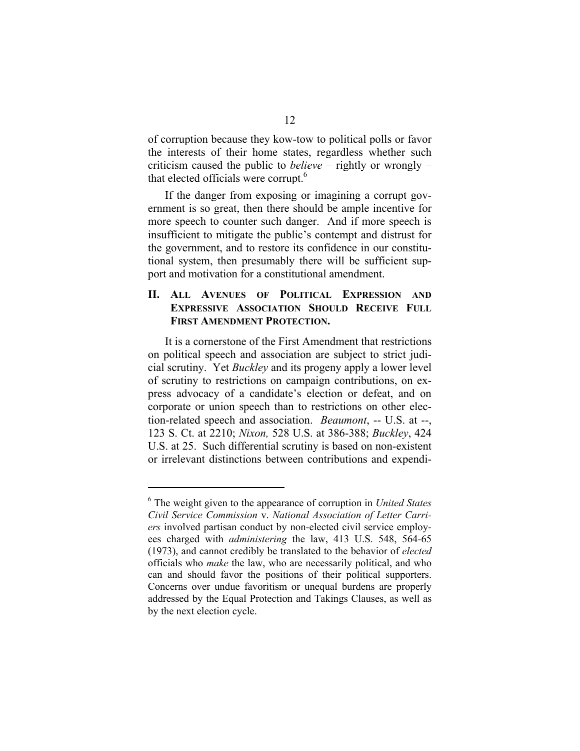of corruption because they kow-tow to political polls or favor the interests of their home states, regardless whether such criticism caused the public to *believe* – rightly or wrongly – that elected officials were corrupt. 6

If the danger from exposing or imagining a corrupt government is so great, then there should be ample incentive for more speech to counter such danger. And if more speech is insufficient to mitigate the public's contempt and distrust for the government, and to restore its confidence in our constitutional system, then presumably there will be sufficient support and motivation for a constitutional amendment.

#### **II. ALL AVENUES OF POLITICAL EXPRESSION AND EXPRESSIVE ASSOCIATION SHOULD RECEIVE FULL FIRST AMENDMENT PROTECTION.**

It is a cornerstone of the First Amendment that restrictions on political speech and association are subject to strict judicial scrutiny. Yet *Buckley* and its progeny apply a lower level of scrutiny to restrictions on campaign contributions, on express advocacy of a candidate's election or defeat, and on corporate or union speech than to restrictions on other election-related speech and association. *Beaumont*, -- U.S. at --, 123 S. Ct. at 2210; *Nixon,* 528 U.S. at 386-388; *Buckley*, 424 U.S. at 25. Such differential scrutiny is based on non-existent or irrelevant distinctions between contributions and expendi-

<sup>6</sup> The weight given to the appearance of corruption in *United States Civil Service Commission* v. *National Association of Letter Carriers* involved partisan conduct by non-elected civil service employees charged with *administering* the law, 413 U.S. 548, 564-65 (1973), and cannot credibly be translated to the behavior of *elected*  officials who *make* the law, who are necessarily political, and who can and should favor the positions of their political supporters. Concerns over undue favoritism or unequal burdens are properly addressed by the Equal Protection and Takings Clauses, as well as by the next election cycle.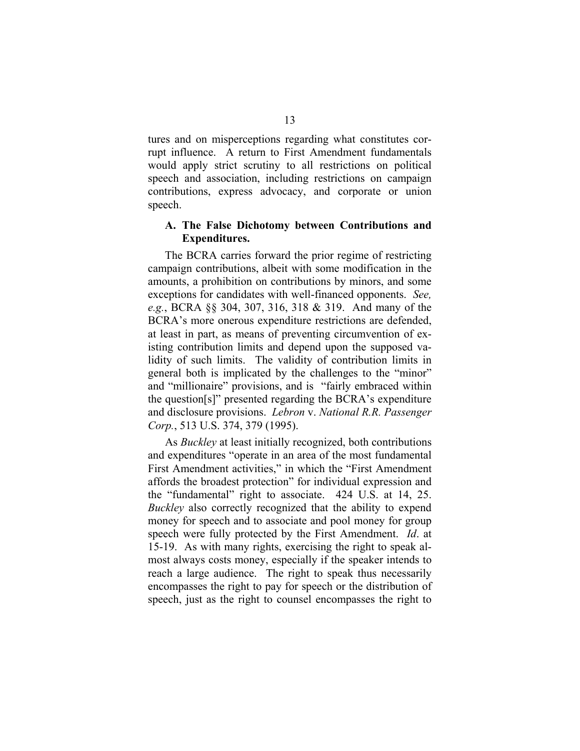tures and on misperceptions regarding what constitutes corrupt influence. A return to First Amendment fundamentals would apply strict scrutiny to all restrictions on political speech and association, including restrictions on campaign contributions, express advocacy, and corporate or union speech.

#### **A. The False Dichotomy between Contributions and Expenditures.**

The BCRA carries forward the prior regime of restricting campaign contributions, albeit with some modification in the amounts, a prohibition on contributions by minors, and some exceptions for candidates with well-financed opponents. *See, e.g.*, BCRA §§ 304, 307, 316, 318 & 319. And many of the BCRA's more onerous expenditure restrictions are defended, at least in part, as means of preventing circumvention of existing contribution limits and depend upon the supposed validity of such limits. The validity of contribution limits in general both is implicated by the challenges to the "minor" and "millionaire" provisions, and is "fairly embraced within the question[s]" presented regarding the BCRA's expenditure and disclosure provisions. *Lebron* v. *National R.R. Passenger Corp.*, 513 U.S. 374, 379 (1995).

As *Buckley* at least initially recognized, both contributions and expenditures "operate in an area of the most fundamental First Amendment activities," in which the "First Amendment affords the broadest protection" for individual expression and the "fundamental" right to associate. 424 U.S. at 14, 25. *Buckley* also correctly recognized that the ability to expend money for speech and to associate and pool money for group speech were fully protected by the First Amendment. *Id*. at 15-19. As with many rights, exercising the right to speak almost always costs money, especially if the speaker intends to reach a large audience. The right to speak thus necessarily encompasses the right to pay for speech or the distribution of speech, just as the right to counsel encompasses the right to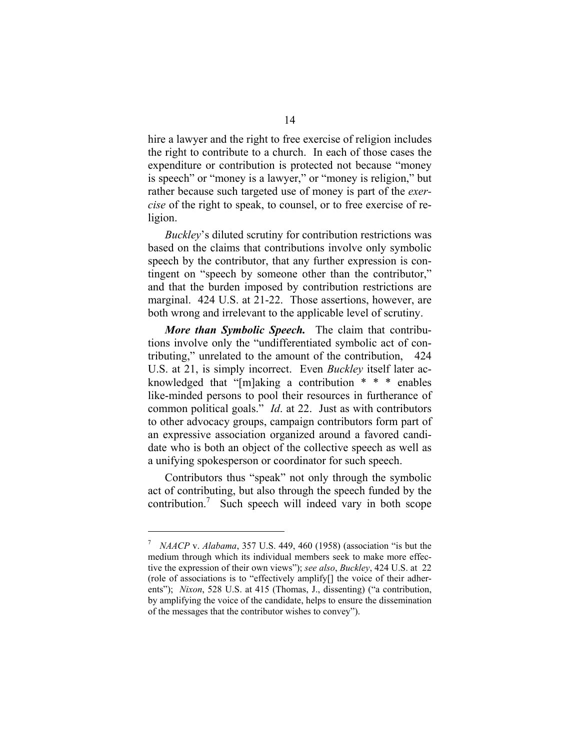hire a lawyer and the right to free exercise of religion includes the right to contribute to a church. In each of those cases the expenditure or contribution is protected not because "money is speech" or "money is a lawyer," or "money is religion," but rather because such targeted use of money is part of the *exercise* of the right to speak, to counsel, or to free exercise of religion.

*Buckley*'s diluted scrutiny for contribution restrictions was based on the claims that contributions involve only symbolic speech by the contributor, that any further expression is contingent on "speech by someone other than the contributor," and that the burden imposed by contribution restrictions are marginal. 424 U.S. at 21-22. Those assertions, however, are both wrong and irrelevant to the applicable level of scrutiny.

*More than Symbolic Speech.* The claim that contributions involve only the "undifferentiated symbolic act of contributing," unrelated to the amount of the contribution, 424 U.S. at 21, is simply incorrect. Even *Buckley* itself later acknowledged that "[m]aking a contribution \* \* \* enables like-minded persons to pool their resources in furtherance of common political goals." *Id*. at 22. Just as with contributors to other advocacy groups, campaign contributors form part of an expressive association organized around a favored candidate who is both an object of the collective speech as well as a unifying spokesperson or coordinator for such speech.

Contributors thus "speak" not only through the symbolic act of contributing, but also through the speech funded by the  $contribution.<sup>7</sup>$  Such speech will indeed vary in both scope

*NAACP* v. *Alabama*, 357 U.S. 449, 460 (1958) (association "is but the medium through which its individual members seek to make more effective the expression of their own views"); *see also*, *Buckley*, 424 U.S. at 22 (role of associations is to "effectively amplify[] the voice of their adherents"); *Nixon*, 528 U.S. at 415 (Thomas, J., dissenting) ("a contribution, by amplifying the voice of the candidate, helps to ensure the dissemination of the messages that the contributor wishes to convey"). 7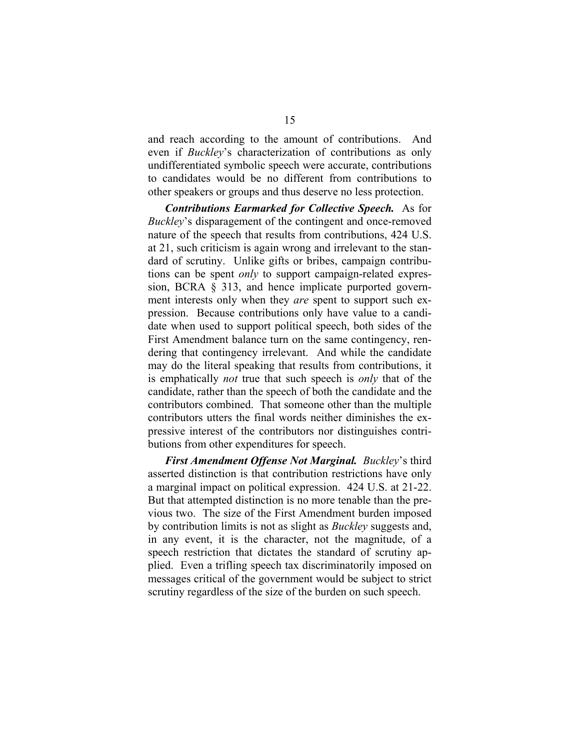and reach according to the amount of contributions. And even if *Buckley*'s characterization of contributions as only undifferentiated symbolic speech were accurate, contributions to candidates would be no different from contributions to other speakers or groups and thus deserve no less protection.

*Contributions Earmarked for Collective Speech.* As for *Buckley*'s disparagement of the contingent and once-removed nature of the speech that results from contributions, 424 U.S. at 21, such criticism is again wrong and irrelevant to the standard of scrutiny. Unlike gifts or bribes, campaign contributions can be spent *only* to support campaign-related expression, BCRA § 313, and hence implicate purported government interests only when they *are* spent to support such expression. Because contributions only have value to a candidate when used to support political speech, both sides of the First Amendment balance turn on the same contingency, rendering that contingency irrelevant. And while the candidate may do the literal speaking that results from contributions, it is emphatically *not* true that such speech is *only* that of the candidate, rather than the speech of both the candidate and the contributors combined. That someone other than the multiple contributors utters the final words neither diminishes the expressive interest of the contributors nor distinguishes contributions from other expenditures for speech.

*First Amendment Offense Not Marginal. Buckley*'s third asserted distinction is that contribution restrictions have only a marginal impact on political expression. 424 U.S. at 21-22. But that attempted distinction is no more tenable than the previous two. The size of the First Amendment burden imposed by contribution limits is not as slight as *Buckley* suggests and, in any event, it is the character, not the magnitude, of a speech restriction that dictates the standard of scrutiny applied. Even a trifling speech tax discriminatorily imposed on messages critical of the government would be subject to strict scrutiny regardless of the size of the burden on such speech.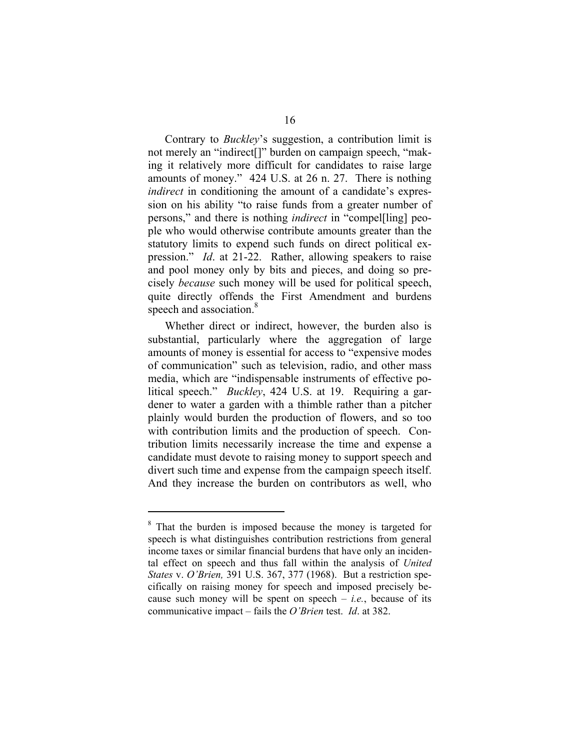Contrary to *Buckley*'s suggestion, a contribution limit is not merely an "indirect[]" burden on campaign speech, "making it relatively more difficult for candidates to raise large amounts of money." 424 U.S. at 26 n. 27. There is nothing *indirect* in conditioning the amount of a candidate's expression on his ability "to raise funds from a greater number of persons," and there is nothing *indirect* in "compel[ling] people who would otherwise contribute amounts greater than the statutory limits to expend such funds on direct political expression." *Id*. at 21-22. Rather, allowing speakers to raise and pool money only by bits and pieces, and doing so precisely *because* such money will be used for political speech, quite directly offends the First Amendment and burdens speech and association.<sup>8</sup>

Whether direct or indirect, however, the burden also is substantial, particularly where the aggregation of large amounts of money is essential for access to "expensive modes of communication" such as television, radio, and other mass media, which are "indispensable instruments of effective political speech." *Buckley*, 424 U.S. at 19. Requiring a gardener to water a garden with a thimble rather than a pitcher plainly would burden the production of flowers, and so too with contribution limits and the production of speech. Contribution limits necessarily increase the time and expense a candidate must devote to raising money to support speech and divert such time and expense from the campaign speech itself. And they increase the burden on contributors as well, who

<sup>&</sup>lt;sup>8</sup> That the burden is imposed because the money is targeted for speech is what distinguishes contribution restrictions from general income taxes or similar financial burdens that have only an incidental effect on speech and thus fall within the analysis of *United States* v. *O'Brien,* 391 U.S. 367, 377 (1968). But a restriction specifically on raising money for speech and imposed precisely because such money will be spent on speech  $-$  *i.e.*, because of its communicative impact – fails the *O'Brien* test. *Id*. at 382.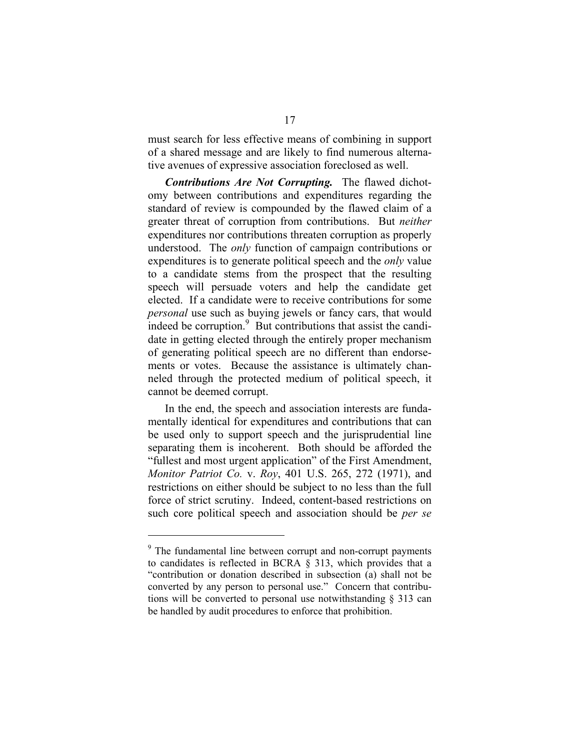must search for less effective means of combining in support of a shared message and are likely to find numerous alternative avenues of expressive association foreclosed as well.

*Contributions Are Not Corrupting.* The flawed dichotomy between contributions and expenditures regarding the standard of review is compounded by the flawed claim of a greater threat of corruption from contributions. But *neither*  expenditures nor contributions threaten corruption as properly understood. The *only* function of campaign contributions or expenditures is to generate political speech and the *only* value to a candidate stems from the prospect that the resulting speech will persuade voters and help the candidate get elected. If a candidate were to receive contributions for some *personal* use such as buying jewels or fancy cars, that would indeed be corruption. $9\overline{B}$  But contributions that assist the candidate in getting elected through the entirely proper mechanism of generating political speech are no different than endorsements or votes. Because the assistance is ultimately channeled through the protected medium of political speech, it cannot be deemed corrupt.

In the end, the speech and association interests are fundamentally identical for expenditures and contributions that can be used only to support speech and the jurisprudential line separating them is incoherent. Both should be afforded the "fullest and most urgent application" of the First Amendment, *Monitor Patriot Co.* v. *Roy*, 401 U.S. 265, 272 (1971), and restrictions on either should be subject to no less than the full force of strict scrutiny. Indeed, content-based restrictions on such core political speech and association should be *per se* 

<sup>&</sup>lt;sup>9</sup> The fundamental line between corrupt and non-corrupt payments to candidates is reflected in BCRA § 313, which provides that a "contribution or donation described in subsection (a) shall not be converted by any person to personal use." Concern that contributions will be converted to personal use notwithstanding § 313 can be handled by audit procedures to enforce that prohibition.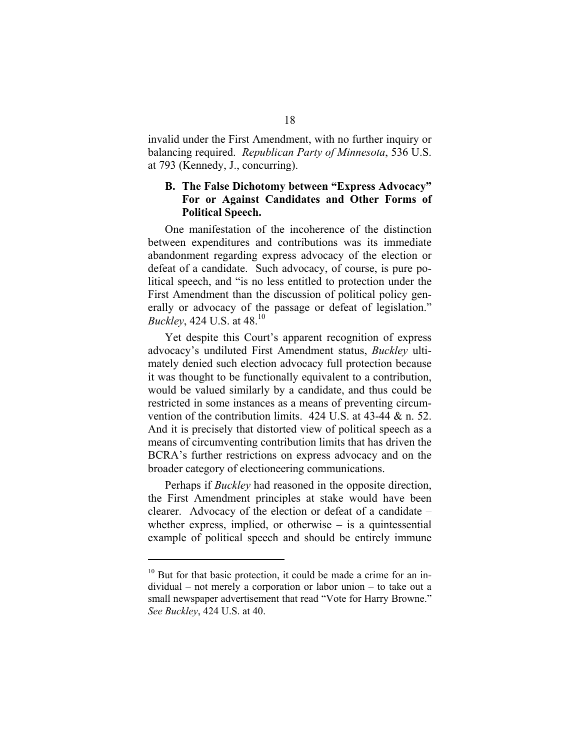invalid under the First Amendment, with no further inquiry or balancing required. *Republican Party of Minnesota*, 536 U.S. at 793 (Kennedy, J., concurring).

## **B. The False Dichotomy between "Express Advocacy" For or Against Candidates and Other Forms of Political Speech.**

One manifestation of the incoherence of the distinction between expenditures and contributions was its immediate abandonment regarding express advocacy of the election or defeat of a candidate. Such advocacy, of course, is pure political speech, and "is no less entitled to protection under the First Amendment than the discussion of political policy generally or advocacy of the passage or defeat of legislation." *Buckley*, 424 U.S. at 48.<sup>10</sup>

Yet despite this Court's apparent recognition of express advocacy's undiluted First Amendment status, *Buckley* ultimately denied such election advocacy full protection because it was thought to be functionally equivalent to a contribution, would be valued similarly by a candidate, and thus could be restricted in some instances as a means of preventing circumvention of the contribution limits. 424 U.S. at 43-44 & n. 52. And it is precisely that distorted view of political speech as a means of circumventing contribution limits that has driven the BCRA's further restrictions on express advocacy and on the broader category of electioneering communications.

Perhaps if *Buckley* had reasoned in the opposite direction, the First Amendment principles at stake would have been clearer. Advocacy of the election or defeat of a candidate – whether express, implied, or otherwise  $-$  is a quintessential example of political speech and should be entirely immune

 $10$  But for that basic protection, it could be made a crime for an individual – not merely a corporation or labor union – to take out a small newspaper advertisement that read "Vote for Harry Browne." *See Buckley*, 424 U.S. at 40.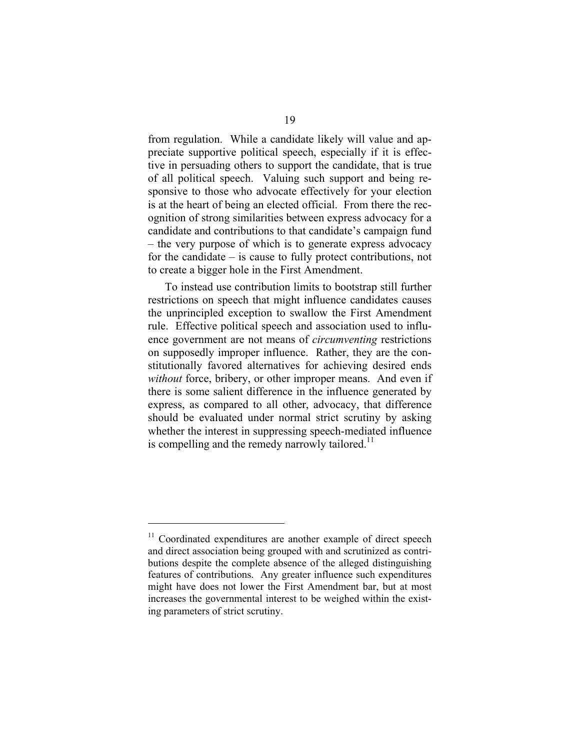from regulation. While a candidate likely will value and appreciate supportive political speech, especially if it is effective in persuading others to support the candidate, that is true of all political speech. Valuing such support and being responsive to those who advocate effectively for your election is at the heart of being an elected official. From there the recognition of strong similarities between express advocacy for a candidate and contributions to that candidate's campaign fund – the very purpose of which is to generate express advocacy for the candidate – is cause to fully protect contributions, not to create a bigger hole in the First Amendment.

To instead use contribution limits to bootstrap still further restrictions on speech that might influence candidates causes the unprincipled exception to swallow the First Amendment rule. Effective political speech and association used to influence government are not means of *circumventing* restrictions on supposedly improper influence. Rather, they are the constitutionally favored alternatives for achieving desired ends *without* force, bribery, or other improper means. And even if there is some salient difference in the influence generated by express, as compared to all other, advocacy, that difference should be evaluated under normal strict scrutiny by asking whether the interest in suppressing speech-mediated influence is compelling and the remedy narrowly tailored.<sup>11</sup>

<sup>&</sup>lt;sup>11</sup> Coordinated expenditures are another example of direct speech and direct association being grouped with and scrutinized as contributions despite the complete absence of the alleged distinguishing features of contributions. Any greater influence such expenditures might have does not lower the First Amendment bar, but at most increases the governmental interest to be weighed within the existing parameters of strict scrutiny.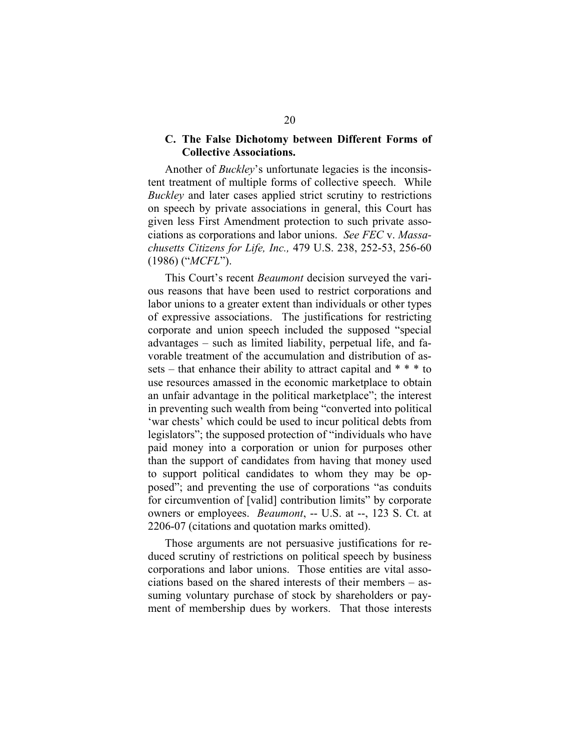#### **C. The False Dichotomy between Different Forms of Collective Associations.**

Another of *Buckley*'s unfortunate legacies is the inconsistent treatment of multiple forms of collective speech. While *Buckley* and later cases applied strict scrutiny to restrictions on speech by private associations in general, this Court has given less First Amendment protection to such private associations as corporations and labor unions. *See FEC* v. *Massachusetts Citizens for Life, Inc.,* 479 U.S. 238, 252-53, 256-60 (1986) ("*MCFL*").

This Court's recent *Beaumont* decision surveyed the various reasons that have been used to restrict corporations and labor unions to a greater extent than individuals or other types of expressive associations. The justifications for restricting corporate and union speech included the supposed "special advantages – such as limited liability, perpetual life, and favorable treatment of the accumulation and distribution of assets – that enhance their ability to attract capital and  $* * *$  to use resources amassed in the economic marketplace to obtain an unfair advantage in the political marketplace"; the interest in preventing such wealth from being "converted into political 'war chests' which could be used to incur political debts from legislators"; the supposed protection of "individuals who have paid money into a corporation or union for purposes other than the support of candidates from having that money used to support political candidates to whom they may be opposed"; and preventing the use of corporations "as conduits for circumvention of [valid] contribution limits" by corporate owners or employees. *Beaumont*, -- U.S. at --, 123 S. Ct. at 2206-07 (citations and quotation marks omitted).

Those arguments are not persuasive justifications for reduced scrutiny of restrictions on political speech by business corporations and labor unions. Those entities are vital associations based on the shared interests of their members – assuming voluntary purchase of stock by shareholders or payment of membership dues by workers. That those interests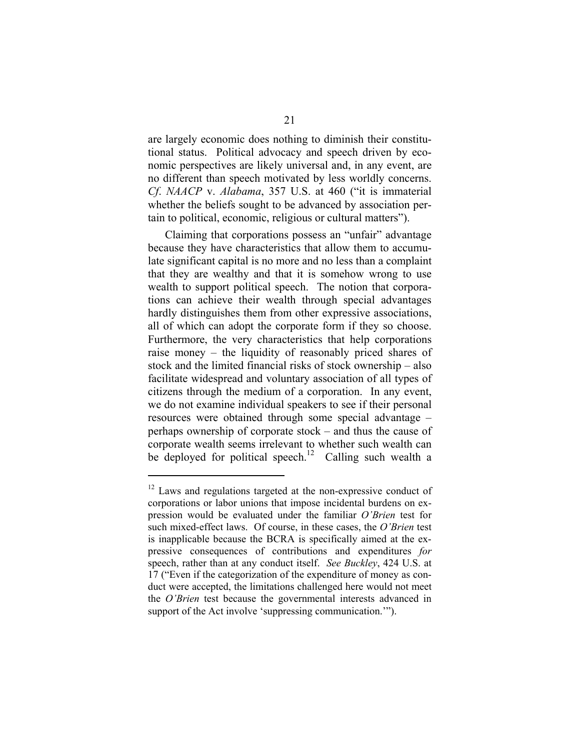are largely economic does nothing to diminish their constitutional status. Political advocacy and speech driven by economic perspectives are likely universal and, in any event, are no different than speech motivated by less worldly concerns. *Cf*. *NAACP* v. *Alabama*, 357 U.S. at 460 ("it is immaterial whether the beliefs sought to be advanced by association pertain to political, economic, religious or cultural matters").

Claiming that corporations possess an "unfair" advantage because they have characteristics that allow them to accumulate significant capital is no more and no less than a complaint that they are wealthy and that it is somehow wrong to use wealth to support political speech. The notion that corporations can achieve their wealth through special advantages hardly distinguishes them from other expressive associations, all of which can adopt the corporate form if they so choose. Furthermore, the very characteristics that help corporations raise money – the liquidity of reasonably priced shares of stock and the limited financial risks of stock ownership – also facilitate widespread and voluntary association of all types of citizens through the medium of a corporation. In any event, we do not examine individual speakers to see if their personal resources were obtained through some special advantage – perhaps ownership of corporate stock – and thus the cause of corporate wealth seems irrelevant to whether such wealth can be deployed for political speech.<sup>12</sup> Calling such wealth a

<sup>&</sup>lt;sup>12</sup> Laws and regulations targeted at the non-expressive conduct of corporations or labor unions that impose incidental burdens on expression would be evaluated under the familiar *O'Brien* test for such mixed-effect laws. Of course, in these cases, the *O'Brien* test is inapplicable because the BCRA is specifically aimed at the expressive consequences of contributions and expenditures *for*  speech, rather than at any conduct itself. *See Buckley*, 424 U.S. at 17 ("Even if the categorization of the expenditure of money as conduct were accepted, the limitations challenged here would not meet the *O'Brien* test because the governmental interests advanced in support of the Act involve 'suppressing communication.'").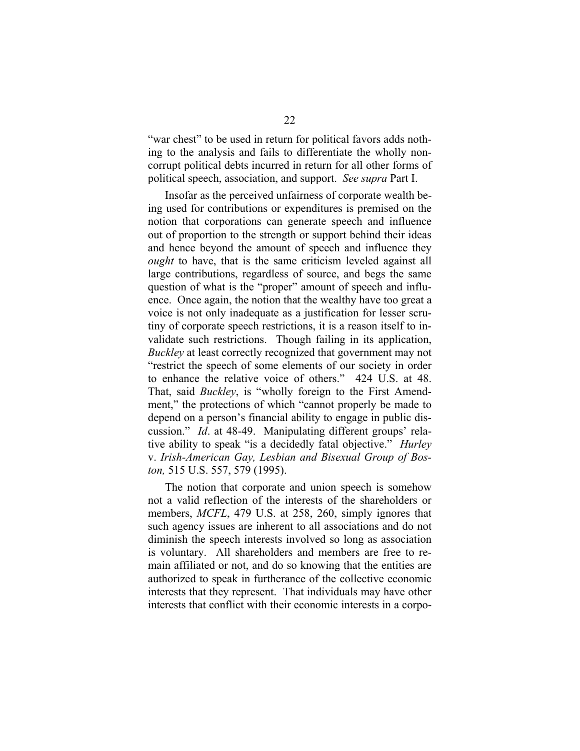"war chest" to be used in return for political favors adds nothing to the analysis and fails to differentiate the wholly noncorrupt political debts incurred in return for all other forms of political speech, association, and support. *See supra* Part I.

Insofar as the perceived unfairness of corporate wealth being used for contributions or expenditures is premised on the notion that corporations can generate speech and influence out of proportion to the strength or support behind their ideas and hence beyond the amount of speech and influence they *ought* to have, that is the same criticism leveled against all large contributions, regardless of source, and begs the same question of what is the "proper" amount of speech and influence. Once again, the notion that the wealthy have too great a voice is not only inadequate as a justification for lesser scrutiny of corporate speech restrictions, it is a reason itself to invalidate such restrictions. Though failing in its application, *Buckley* at least correctly recognized that government may not "restrict the speech of some elements of our society in order to enhance the relative voice of others." 424 U.S. at 48. That, said *Buckley*, is "wholly foreign to the First Amendment," the protections of which "cannot properly be made to depend on a person's financial ability to engage in public discussion." *Id*. at 48-49. Manipulating different groups' relative ability to speak "is a decidedly fatal objective." *Hurley*  v. *Irish-American Gay, Lesbian and Bisexual Group of Boston,* 515 U.S. 557, 579 (1995).

The notion that corporate and union speech is somehow not a valid reflection of the interests of the shareholders or members, *MCFL*, 479 U.S. at 258, 260, simply ignores that such agency issues are inherent to all associations and do not diminish the speech interests involved so long as association is voluntary. All shareholders and members are free to remain affiliated or not, and do so knowing that the entities are authorized to speak in furtherance of the collective economic interests that they represent. That individuals may have other interests that conflict with their economic interests in a corpo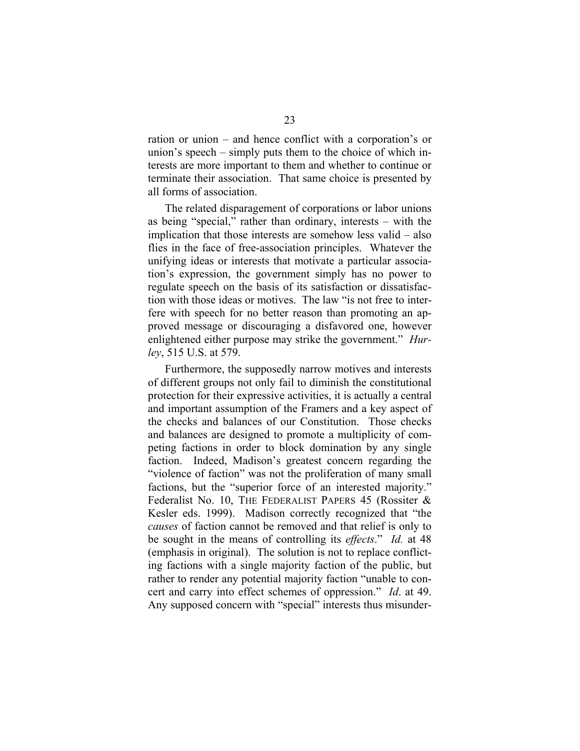ration or union – and hence conflict with a corporation's or union's speech – simply puts them to the choice of which interests are more important to them and whether to continue or terminate their association. That same choice is presented by all forms of association.

The related disparagement of corporations or labor unions as being "special," rather than ordinary, interests – with the implication that those interests are somehow less valid – also flies in the face of free-association principles. Whatever the unifying ideas or interests that motivate a particular association's expression, the government simply has no power to regulate speech on the basis of its satisfaction or dissatisfaction with those ideas or motives. The law "is not free to interfere with speech for no better reason than promoting an approved message or discouraging a disfavored one, however enlightened either purpose may strike the government." *Hurley*, 515 U.S. at 579.

Furthermore, the supposedly narrow motives and interests of different groups not only fail to diminish the constitutional protection for their expressive activities, it is actually a central and important assumption of the Framers and a key aspect of the checks and balances of our Constitution. Those checks and balances are designed to promote a multiplicity of competing factions in order to block domination by any single faction. Indeed, Madison's greatest concern regarding the "violence of faction" was not the proliferation of many small factions, but the "superior force of an interested majority." Federalist No. 10, THE FEDERALIST PAPERS 45 (Rossiter & Kesler eds. 1999). Madison correctly recognized that "the *causes* of faction cannot be removed and that relief is only to be sought in the means of controlling its *effects*." *Id.* at 48 (emphasis in original). The solution is not to replace conflicting factions with a single majority faction of the public, but rather to render any potential majority faction "unable to concert and carry into effect schemes of oppression." *Id*. at 49. Any supposed concern with "special" interests thus misunder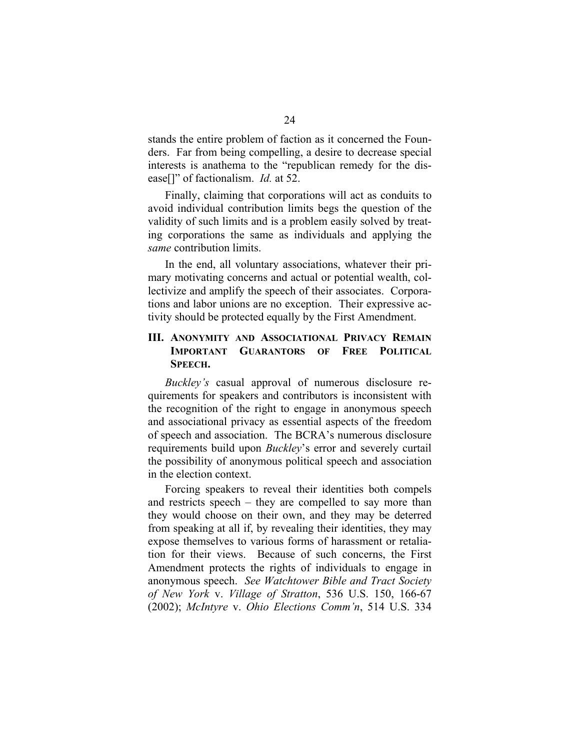stands the entire problem of faction as it concerned the Founders. Far from being compelling, a desire to decrease special interests is anathema to the "republican remedy for the disease[]" of factionalism. *Id.* at 52.

Finally, claiming that corporations will act as conduits to avoid individual contribution limits begs the question of the validity of such limits and is a problem easily solved by treating corporations the same as individuals and applying the *same* contribution limits.

In the end, all voluntary associations, whatever their primary motivating concerns and actual or potential wealth, collectivize and amplify the speech of their associates. Corporations and labor unions are no exception. Their expressive activity should be protected equally by the First Amendment.

### **III. ANONYMITY AND ASSOCIATIONAL PRIVACY REMAIN IMPORTANT GUARANTORS OF FREE POLITICAL SPEECH.**

*Buckley's* casual approval of numerous disclosure requirements for speakers and contributors is inconsistent with the recognition of the right to engage in anonymous speech and associational privacy as essential aspects of the freedom of speech and association. The BCRA's numerous disclosure requirements build upon *Buckley*'s error and severely curtail the possibility of anonymous political speech and association in the election context.

Forcing speakers to reveal their identities both compels and restricts speech – they are compelled to say more than they would choose on their own, and they may be deterred from speaking at all if, by revealing their identities, they may expose themselves to various forms of harassment or retaliation for their views. Because of such concerns, the First Amendment protects the rights of individuals to engage in anonymous speech. *See Watchtower Bible and Tract Society of New York* v. *Village of Stratton*, 536 U.S. 150, 166-67 (2002); *McIntyre* v. *Ohio Elections Comm'n*, 514 U.S. 334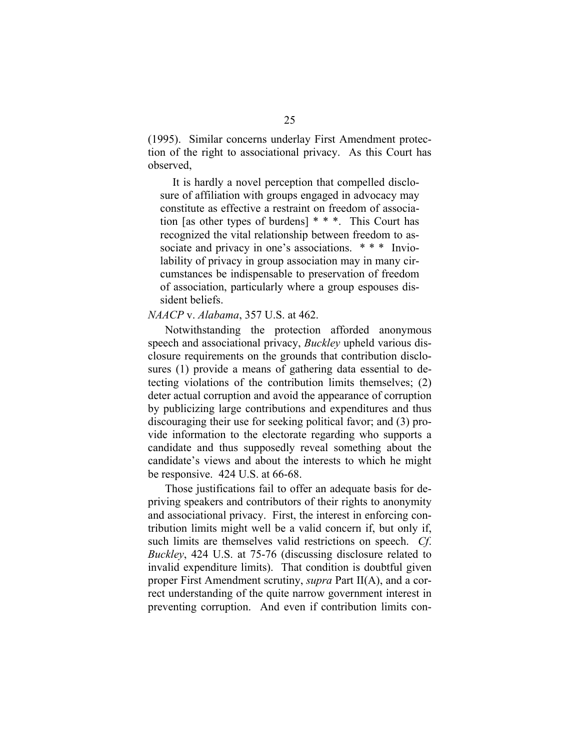(1995). Similar concerns underlay First Amendment protection of the right to associational privacy. As this Court has observed,

It is hardly a novel perception that compelled disclosure of affiliation with groups engaged in advocacy may constitute as effective a restraint on freedom of association [as other types of burdens] \* \* \*. This Court has recognized the vital relationship between freedom to associate and privacy in one's associations. \*\*\* Inviolability of privacy in group association may in many circumstances be indispensable to preservation of freedom of association, particularly where a group espouses dissident beliefs.

## *NAACP* v. *Alabama*, 357 U.S. at 462.

Notwithstanding the protection afforded anonymous speech and associational privacy, *Buckley* upheld various disclosure requirements on the grounds that contribution disclosures (1) provide a means of gathering data essential to detecting violations of the contribution limits themselves; (2) deter actual corruption and avoid the appearance of corruption by publicizing large contributions and expenditures and thus discouraging their use for seeking political favor; and (3) provide information to the electorate regarding who supports a candidate and thus supposedly reveal something about the candidate's views and about the interests to which he might be responsive. 424 U.S. at 66-68.

Those justifications fail to offer an adequate basis for depriving speakers and contributors of their rights to anonymity and associational privacy. First, the interest in enforcing contribution limits might well be a valid concern if, but only if, such limits are themselves valid restrictions on speech. *Cf*. *Buckley*, 424 U.S. at 75-76 (discussing disclosure related to invalid expenditure limits). That condition is doubtful given proper First Amendment scrutiny, *supra* Part II(A), and a correct understanding of the quite narrow government interest in preventing corruption. And even if contribution limits con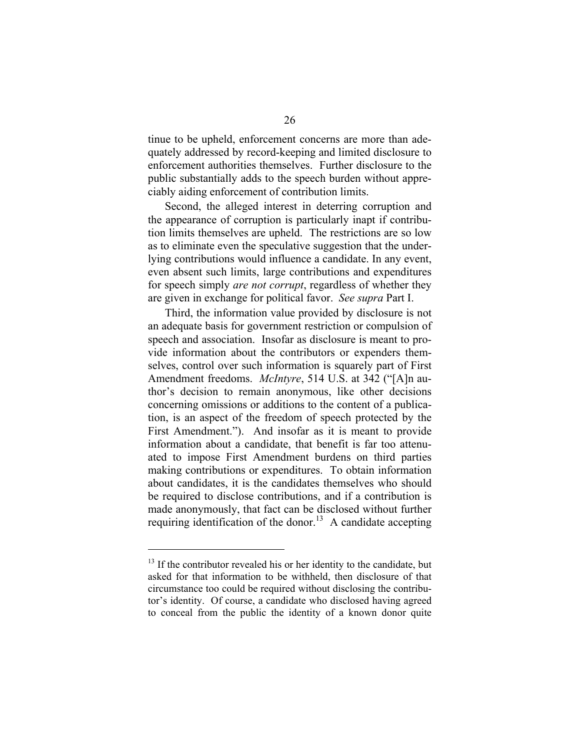tinue to be upheld, enforcement concerns are more than adequately addressed by record-keeping and limited disclosure to enforcement authorities themselves. Further disclosure to the public substantially adds to the speech burden without appreciably aiding enforcement of contribution limits.

Second, the alleged interest in deterring corruption and the appearance of corruption is particularly inapt if contribution limits themselves are upheld. The restrictions are so low as to eliminate even the speculative suggestion that the underlying contributions would influence a candidate. In any event, even absent such limits, large contributions and expenditures for speech simply *are not corrupt*, regardless of whether they are given in exchange for political favor. *See supra* Part I.

Third, the information value provided by disclosure is not an adequate basis for government restriction or compulsion of speech and association. Insofar as disclosure is meant to provide information about the contributors or expenders themselves, control over such information is squarely part of First Amendment freedoms. *McIntyre*, 514 U.S. at 342 ("[A]n author's decision to remain anonymous, like other decisions concerning omissions or additions to the content of a publication, is an aspect of the freedom of speech protected by the First Amendment."). And insofar as it is meant to provide information about a candidate, that benefit is far too attenuated to impose First Amendment burdens on third parties making contributions or expenditures. To obtain information about candidates, it is the candidates themselves who should be required to disclose contributions, and if a contribution is made anonymously, that fact can be disclosed without further requiring identification of the donor.<sup>13</sup> A candidate accepting

 $13$  If the contributor revealed his or her identity to the candidate, but asked for that information to be withheld, then disclosure of that circumstance too could be required without disclosing the contributor's identity. Of course, a candidate who disclosed having agreed to conceal from the public the identity of a known donor quite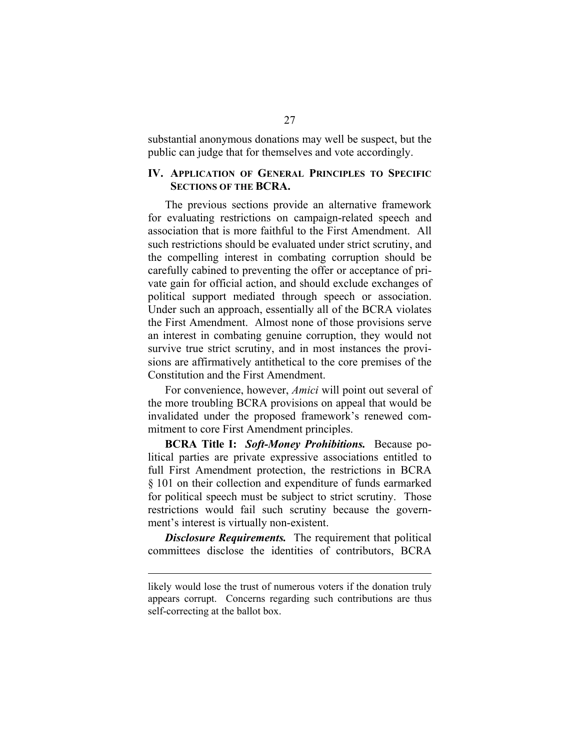substantial anonymous donations may well be suspect, but the public can judge that for themselves and vote accordingly.

#### **IV. APPLICATION OF GENERAL PRINCIPLES TO SPECIFIC SECTIONS OF THE BCRA.**

The previous sections provide an alternative framework for evaluating restrictions on campaign-related speech and association that is more faithful to the First Amendment. All such restrictions should be evaluated under strict scrutiny, and the compelling interest in combating corruption should be carefully cabined to preventing the offer or acceptance of private gain for official action, and should exclude exchanges of political support mediated through speech or association. Under such an approach, essentially all of the BCRA violates the First Amendment. Almost none of those provisions serve an interest in combating genuine corruption, they would not survive true strict scrutiny, and in most instances the provisions are affirmatively antithetical to the core premises of the Constitution and the First Amendment.

For convenience, however, *Amici* will point out several of the more troubling BCRA provisions on appeal that would be invalidated under the proposed framework's renewed commitment to core First Amendment principles.

**BCRA Title I:** *Soft-Money Prohibitions.* Because political parties are private expressive associations entitled to full First Amendment protection, the restrictions in BCRA § 101 on their collection and expenditure of funds earmarked for political speech must be subject to strict scrutiny. Those restrictions would fail such scrutiny because the government's interest is virtually non-existent.

*Disclosure Requirements.* The requirement that political committees disclose the identities of contributors, BCRA

likely would lose the trust of numerous voters if the donation truly appears corrupt. Concerns regarding such contributions are thus self-correcting at the ballot box.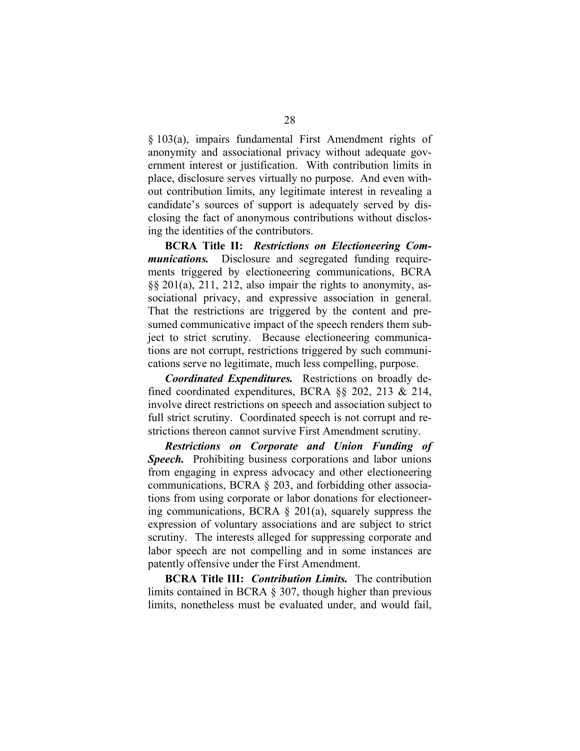§ 103(a), impairs fundamental First Amendment rights of anonymity and associational privacy without adequate government interest or justification. With contribution limits in place, disclosure serves virtually no purpose. And even without contribution limits, any legitimate interest in revealing a candidate's sources of support is adequately served by disclosing the fact of anonymous contributions without disclosing the identities of the contributors.

**BCRA Title II:** *Restrictions on Electioneering Communications.* Disclosure and segregated funding requirements triggered by electioneering communications, BCRA §§ 201(a), 211, 212, also impair the rights to anonymity, associational privacy, and expressive association in general. That the restrictions are triggered by the content and presumed communicative impact of the speech renders them subject to strict scrutiny. Because electioneering communications are not corrupt, restrictions triggered by such communications serve no legitimate, much less compelling, purpose.

*Coordinated Expenditures.* Restrictions on broadly defined coordinated expenditures, BCRA §§ 202, 213 & 214, involve direct restrictions on speech and association subject to full strict scrutiny. Coordinated speech is not corrupt and restrictions thereon cannot survive First Amendment scrutiny.

*Restrictions on Corporate and Union Funding of Speech.* Prohibiting business corporations and labor unions from engaging in express advocacy and other electioneering communications, BCRA § 203, and forbidding other associations from using corporate or labor donations for electioneering communications, BCRA § 201(a), squarely suppress the expression of voluntary associations and are subject to strict scrutiny. The interests alleged for suppressing corporate and labor speech are not compelling and in some instances are patently offensive under the First Amendment.

**BCRA Title III:** *Contribution Limits.* The contribution limits contained in BCRA § 307, though higher than previous limits, nonetheless must be evaluated under, and would fail,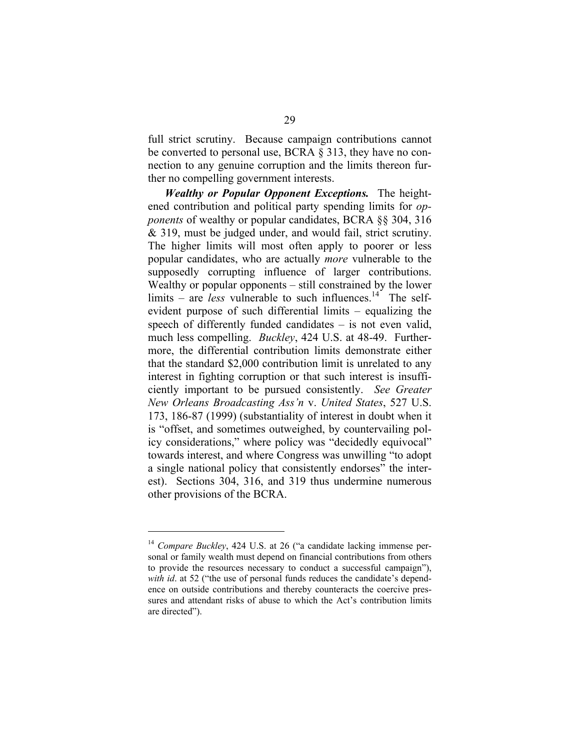full strict scrutiny. Because campaign contributions cannot be converted to personal use, BCRA § 313, they have no connection to any genuine corruption and the limits thereon further no compelling government interests.

*Wealthy or Popular Opponent Exceptions.* The heightened contribution and political party spending limits for *opponents* of wealthy or popular candidates, BCRA §§ 304, 316 & 319, must be judged under, and would fail, strict scrutiny. The higher limits will most often apply to poorer or less popular candidates, who are actually *more* vulnerable to the supposedly corrupting influence of larger contributions. Wealthy or popular opponents – still constrained by the lower limits – are *less* vulnerable to such influences.<sup>14</sup> The selfevident purpose of such differential limits – equalizing the speech of differently funded candidates – is not even valid, much less compelling. *Buckley*, 424 U.S. at 48-49. Furthermore, the differential contribution limits demonstrate either that the standard \$2,000 contribution limit is unrelated to any interest in fighting corruption or that such interest is insufficiently important to be pursued consistently. *See Greater New Orleans Broadcasting Ass'n* v. *United States*, 527 U.S. 173, 186-87 (1999) (substantiality of interest in doubt when it is "offset, and sometimes outweighed, by countervailing policy considerations," where policy was "decidedly equivocal" towards interest, and where Congress was unwilling "to adopt a single national policy that consistently endorses" the interest). Sections 304, 316, and 319 thus undermine numerous other provisions of the BCRA.

<sup>14</sup>*Compare Buckley*, 424 U.S. at 26 ("a candidate lacking immense personal or family wealth must depend on financial contributions from others to provide the resources necessary to conduct a successful campaign"), *with id.* at 52 ("the use of personal funds reduces the candidate's dependence on outside contributions and thereby counteracts the coercive pressures and attendant risks of abuse to which the Act's contribution limits are directed").